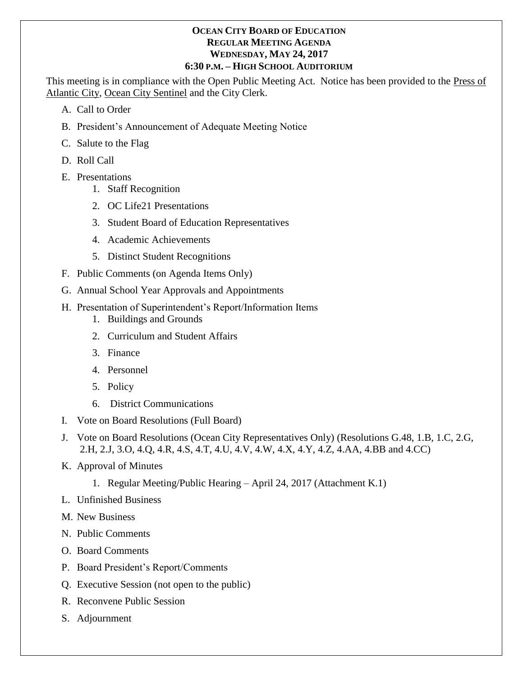## **OCEAN CITY BOARD OF EDUCATION REGULAR MEETING AGENDA WEDNESDAY, MAY 24, 2017 6:30 P.M. – HIGH SCHOOL AUDITORIUM**

This meeting is in compliance with the Open Public Meeting Act. Notice has been provided to the Press of Atlantic City, Ocean City Sentinel and the City Clerk.

- A. Call to Order
- B. President's Announcement of Adequate Meeting Notice
- C. Salute to the Flag
- D. Roll Call
- E. Presentations
	- 1. Staff Recognition
	- 2. OC Life21 Presentations
	- 3. Student Board of Education Representatives
	- 4. Academic Achievements
	- 5. Distinct Student Recognitions
- F. Public Comments (on Agenda Items Only)
- G. Annual School Year Approvals and Appointments
- H. Presentation of Superintendent's Report/Information Items
	- 1. Buildings and Grounds
	- 2. Curriculum and Student Affairs
	- 3. Finance
	- 4. Personnel
	- 5. Policy
	- 6. District Communications
- I. Vote on Board Resolutions (Full Board)
- J. Vote on Board Resolutions (Ocean City Representatives Only) (Resolutions G.48, 1.B, 1.C, 2.G, 2.H, 2.J, 3.O, 4.Q, 4.R, 4.S, 4.T, 4.U, 4.V, 4.W, 4.X, 4.Y, 4.Z, 4.AA, 4.BB and 4.CC)
- K. Approval of Minutes
	- 1. Regular Meeting/Public Hearing April 24, 2017 (Attachment K.1)
- L. Unfinished Business
- M. New Business
- N. Public Comments
- O. Board Comments
- P. Board President's Report/Comments
- Q. Executive Session (not open to the public)
- R. Reconvene Public Session
- S. Adjournment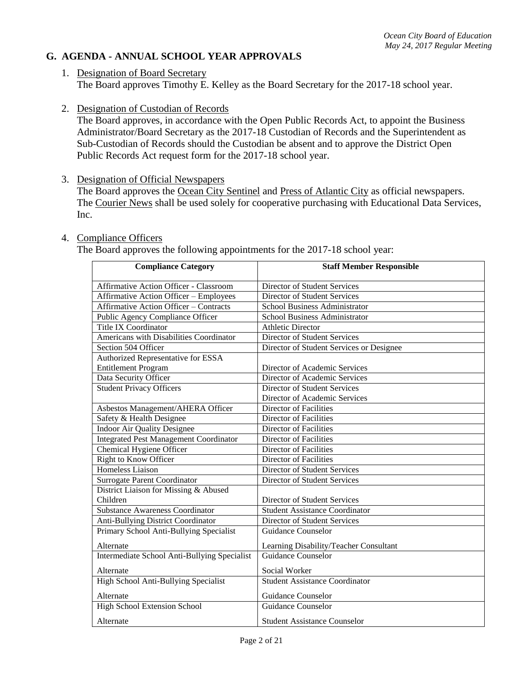## **G. AGENDA - ANNUAL SCHOOL YEAR APPROVALS**

- 1. Designation of Board Secretary The Board approves Timothy E. Kelley as the Board Secretary for the 2017-18 school year.
- 2. Designation of Custodian of Records

The Board approves, in accordance with the Open Public Records Act, to appoint the Business Administrator/Board Secretary as the 2017-18 Custodian of Records and the Superintendent as Sub-Custodian of Records should the Custodian be absent and to approve the District Open Public Records Act request form for the 2017-18 school year.

3. Designation of Official Newspapers

The Board approves the Ocean City Sentinel and Press of Atlantic City as official newspapers. The Courier News shall be used solely for cooperative purchasing with Educational Data Services, Inc.

#### 4. Compliance Officers

The Board approves the following appointments for the 2017-18 school year:

| <b>Compliance Category</b>                    | <b>Staff Member Responsible</b>          |
|-----------------------------------------------|------------------------------------------|
| Affirmative Action Officer - Classroom        | Director of Student Services             |
| <b>Affirmative Action Officer - Employees</b> | Director of Student Services             |
| <b>Affirmative Action Officer - Contracts</b> | School Business Administrator            |
| Public Agency Compliance Officer              | School Business Administrator            |
| <b>Title IX Coordinator</b>                   | <b>Athletic Director</b>                 |
| Americans with Disabilities Coordinator       | Director of Student Services             |
| Section 504 Officer                           | Director of Student Services or Designee |
| Authorized Representative for ESSA            |                                          |
| <b>Entitlement Program</b>                    | Director of Academic Services            |
| Data Security Officer                         | Director of Academic Services            |
| <b>Student Privacy Officers</b>               | Director of Student Services             |
|                                               | Director of Academic Services            |
| Asbestos Management/AHERA Officer             | <b>Director of Facilities</b>            |
| Safety & Health Designee                      | <b>Director of Facilities</b>            |
| <b>Indoor Air Quality Designee</b>            | <b>Director of Facilities</b>            |
| <b>Integrated Pest Management Coordinator</b> | Director of Facilities                   |
| Chemical Hygiene Officer                      | <b>Director of Facilities</b>            |
| <b>Right to Know Officer</b>                  | <b>Director of Facilities</b>            |
| <b>Homeless Liaison</b>                       | <b>Director of Student Services</b>      |
| <b>Surrogate Parent Coordinator</b>           | <b>Director of Student Services</b>      |
| District Liaison for Missing & Abused         |                                          |
| Children                                      | Director of Student Services             |
| <b>Substance Awareness Coordinator</b>        | <b>Student Assistance Coordinator</b>    |
| Anti-Bullying District Coordinator            | Director of Student Services             |
| Primary School Anti-Bullying Specialist       | <b>Guidance Counselor</b>                |
| Alternate                                     | Learning Disability/Teacher Consultant   |
| Intermediate School Anti-Bullying Specialist  | <b>Guidance Counselor</b>                |
| Alternate                                     | Social Worker                            |
| High School Anti-Bullying Specialist          | <b>Student Assistance Coordinator</b>    |
| Alternate                                     | Guidance Counselor                       |
| <b>High School Extension School</b>           | <b>Guidance Counselor</b>                |
| Alternate                                     | <b>Student Assistance Counselor</b>      |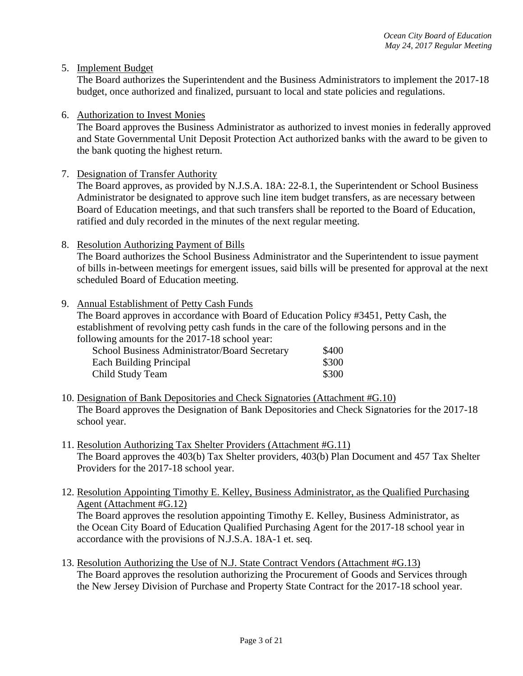5. Implement Budget

The Board authorizes the Superintendent and the Business Administrators to implement the 2017-18 budget, once authorized and finalized, pursuant to local and state policies and regulations.

6. Authorization to Invest Monies

The Board approves the Business Administrator as authorized to invest monies in federally approved and State Governmental Unit Deposit Protection Act authorized banks with the award to be given to the bank quoting the highest return.

7. Designation of Transfer Authority

The Board approves, as provided by N.J.S.A. 18A: 22-8.1, the Superintendent or School Business Administrator be designated to approve such line item budget transfers, as are necessary between Board of Education meetings, and that such transfers shall be reported to the Board of Education, ratified and duly recorded in the minutes of the next regular meeting.

8. Resolution Authorizing Payment of Bills

The Board authorizes the School Business Administrator and the Superintendent to issue payment of bills in-between meetings for emergent issues, said bills will be presented for approval at the next scheduled Board of Education meeting.

9. Annual Establishment of Petty Cash Funds

The Board approves in accordance with Board of Education Policy #3451, Petty Cash, the establishment of revolving petty cash funds in the care of the following persons and in the following amounts for the 2017-18 school year:

| School Business Administrator/Board Secretary | \$400 |
|-----------------------------------------------|-------|
| Each Building Principal                       | \$300 |
| Child Study Team                              | \$300 |

- 10. Designation of Bank Depositories and Check Signatories (Attachment #G.10) The Board approves the Designation of Bank Depositories and Check Signatories for the 2017-18 school year.
- 11. Resolution Authorizing Tax Shelter Providers (Attachment #G.11) The Board approves the 403(b) Tax Shelter providers, 403(b) Plan Document and 457 Tax Shelter Providers for the 2017-18 school year.
- 12. Resolution Appointing Timothy E. Kelley, Business Administrator, as the Qualified Purchasing Agent (Attachment #G.12) The Board approves the resolution appointing Timothy E. Kelley, Business Administrator, as the Ocean City Board of Education Qualified Purchasing Agent for the 2017-18 school year in accordance with the provisions of N.J.S.A. 18A-1 et. seq.
- 13. Resolution Authorizing the Use of N.J. State Contract Vendors (Attachment #G.13) The Board approves the resolution authorizing the Procurement of Goods and Services through the New Jersey Division of Purchase and Property State Contract for the 2017-18 school year.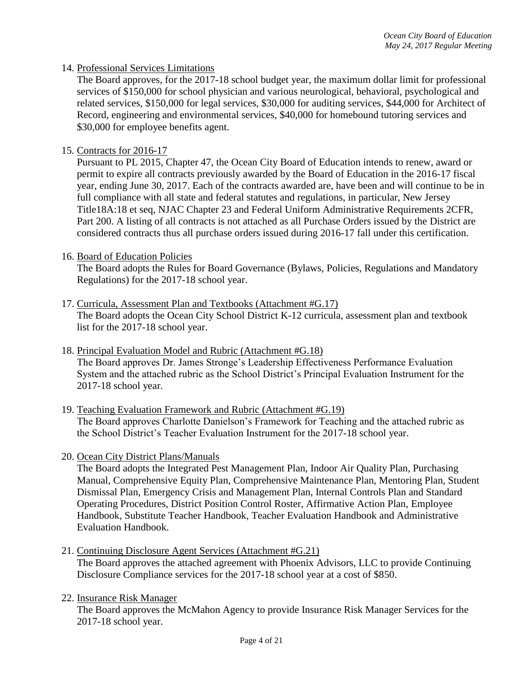## 14. Professional Services Limitations

The Board approves, for the 2017-18 school budget year, the maximum dollar limit for professional services of \$150,000 for school physician and various neurological, behavioral, psychological and related services, \$150,000 for legal services, \$30,000 for auditing services, \$44,000 for Architect of Record, engineering and environmental services, \$40,000 for homebound tutoring services and \$30,000 for employee benefits agent.

## 15. Contracts for 2016-17

Pursuant to PL 2015, Chapter 47, the Ocean City Board of Education intends to renew, award or permit to expire all contracts previously awarded by the Board of Education in the 2016-17 fiscal year, ending June 30, 2017. Each of the contracts awarded are, have been and will continue to be in full compliance with all state and federal statutes and regulations, in particular, New Jersey Title18A:18 et seq, NJAC Chapter 23 and Federal Uniform Administrative Requirements 2CFR, Part 200. A listing of all contracts is not attached as all Purchase Orders issued by the District are considered contracts thus all purchase orders issued during 2016-17 fall under this certification.

### 16. Board of Education Policies

The Board adopts the Rules for Board Governance (Bylaws, Policies, Regulations and Mandatory Regulations) for the 2017-18 school year.

### 17. Curricula, Assessment Plan and Textbooks (Attachment #G.17)

The Board adopts the Ocean City School District K-12 curricula, assessment plan and textbook list for the 2017-18 school year.

- 18. Principal Evaluation Model and Rubric (Attachment #G.18) The Board approves Dr. James Stronge's Leadership Effectiveness Performance Evaluation System and the attached rubric as the School District's Principal Evaluation Instrument for the
- 2017-18 school year. 19. Teaching Evaluation Framework and Rubric (Attachment #G.19)
	- The Board approves Charlotte Danielson's Framework for Teaching and the attached rubric as the School District's Teacher Evaluation Instrument for the 2017-18 school year.
	- 20. Ocean City District Plans/Manuals

The Board adopts the Integrated Pest Management Plan, Indoor Air Quality Plan, Purchasing Manual, Comprehensive Equity Plan, Comprehensive Maintenance Plan, Mentoring Plan, Student Dismissal Plan, Emergency Crisis and Management Plan, Internal Controls Plan and Standard Operating Procedures, District Position Control Roster, Affirmative Action Plan, Employee Handbook, Substitute Teacher Handbook, Teacher Evaluation Handbook and Administrative Evaluation Handbook.

- 21. Continuing Disclosure Agent Services (Attachment #G.21) The Board approves the attached agreement with Phoenix Advisors, LLC to provide Continuing Disclosure Compliance services for the 2017-18 school year at a cost of \$850.
- 22. Insurance Risk Manager

The Board approves the McMahon Agency to provide Insurance Risk Manager Services for the 2017-18 school year.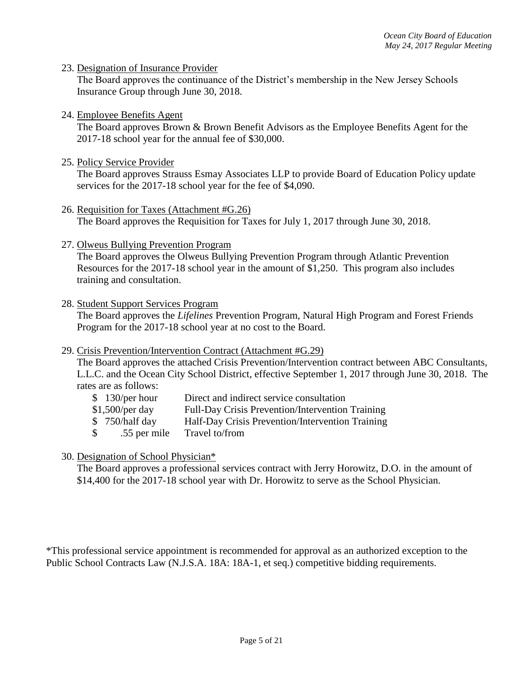23. Designation of Insurance Provider

The Board approves the continuance of the District's membership in the New Jersey Schools Insurance Group through June 30, 2018.

24. Employee Benefits Agent

The Board approves Brown & Brown Benefit Advisors as the Employee Benefits Agent for the 2017-18 school year for the annual fee of \$30,000.

25. Policy Service Provider

The Board approves Strauss Esmay Associates LLP to provide Board of Education Policy update services for the 2017-18 school year for the fee of \$4,090.

- 26. Requisition for Taxes (Attachment #G.26) The Board approves the Requisition for Taxes for July 1, 2017 through June 30, 2018.
- 27. Olweus Bullying Prevention Program

The Board approves the Olweus Bullying Prevention Program through Atlantic Prevention Resources for the 2017-18 school year in the amount of \$1,250. This program also includes training and consultation.

#### 28. Student Support Services Program

The Board approves the *Lifelines* Prevention Program, Natural High Program and Forest Friends Program for the 2017-18 school year at no cost to the Board.

29. Crisis Prevention/Intervention Contract (Attachment #G.29)

The Board approves the attached Crisis Prevention/Intervention contract between ABC Consultants, L.L.C. and the Ocean City School District, effective September 1, 2017 through June 30, 2018. The rates are as follows:

- \$ 130/per hour Direct and indirect service consultation
- \$1,500/per day Full-Day Crisis Prevention/Intervention Training
- \$ 750/half day Half-Day Crisis Prevention/Intervention Training
- \$ .55 per mile Travel to/from
- 30. Designation of School Physician\*

The Board approves a professional services contract with Jerry Horowitz, D.O. in the amount of \$14,400 for the 2017-18 school year with Dr. Horowitz to serve as the School Physician.

\*This professional service appointment is recommended for approval as an authorized exception to the Public School Contracts Law (N.J.S.A. 18A: 18A-1, et seq.) competitive bidding requirements.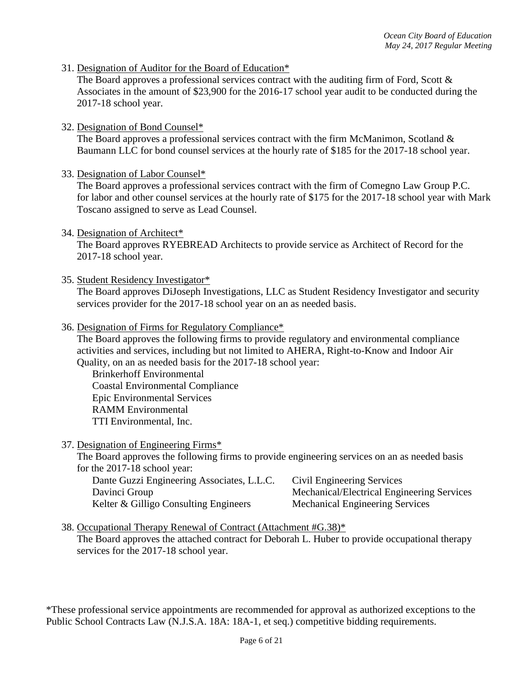31. Designation of Auditor for the Board of Education\*

The Board approves a professional services contract with the auditing firm of Ford, Scott & Associates in the amount of \$23,900 for the 2016-17 school year audit to be conducted during the 2017-18 school year.

32. Designation of Bond Counsel\*

The Board approves a professional services contract with the firm McManimon, Scotland  $\&$ Baumann LLC for bond counsel services at the hourly rate of \$185 for the 2017-18 school year.

33. Designation of Labor Counsel\*

The Board approves a professional services contract with the firm of Comegno Law Group P.C. for labor and other counsel services at the hourly rate of \$175 for the 2017-18 school year with Mark Toscano assigned to serve as Lead Counsel.

34. Designation of Architect\*

The Board approves RYEBREAD Architects to provide service as Architect of Record for the 2017-18 school year.

35. Student Residency Investigator\*

The Board approves DiJoseph Investigations, LLC as Student Residency Investigator and security services provider for the 2017-18 school year on an as needed basis.

36. Designation of Firms for Regulatory Compliance\*

The Board approves the following firms to provide regulatory and environmental compliance activities and services, including but not limited to AHERA, Right-to-Know and Indoor Air Quality, on an as needed basis for the 2017-18 school year:

Brinkerhoff Environmental Coastal Environmental Compliance Epic Environmental Services RAMM Environmental TTI Environmental, Inc.

37. Designation of Engineering Firms\*

The Board approves the following firms to provide engineering services on an as needed basis for the 2017-18 school year:

| Dante Guzzi Engineering Associates, L.L.C. | Civil Engineering Services                 |
|--------------------------------------------|--------------------------------------------|
| Davinci Group                              | Mechanical/Electrical Engineering Services |
| Kelter & Gilligo Consulting Engineers      | <b>Mechanical Engineering Services</b>     |

38. Occupational Therapy Renewal of Contract (Attachment #G.38)\*

The Board approves the attached contract for Deborah L. Huber to provide occupational therapy services for the 2017-18 school year.

\*These professional service appointments are recommended for approval as authorized exceptions to the Public School Contracts Law (N.J.S.A. 18A: 18A-1, et seq.) competitive bidding requirements.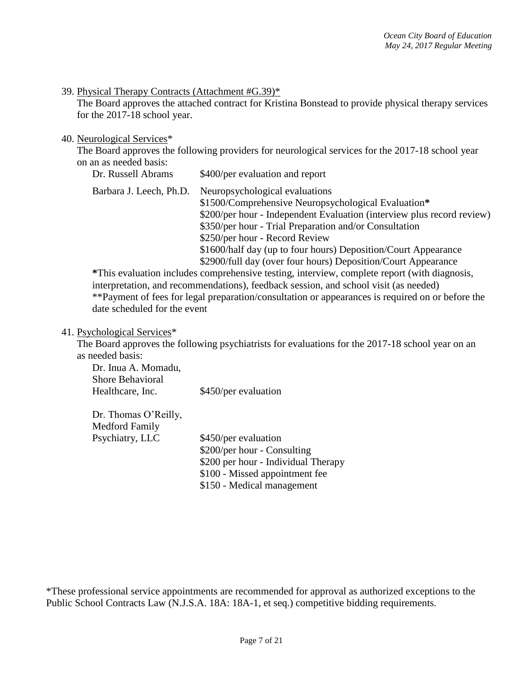39. Physical Therapy Contracts (Attachment #G.39)\*

The Board approves the attached contract for Kristina Bonstead to provide physical therapy services for the 2017-18 school year.

#### 40. Neurological Services\*

The Board approves the following providers for neurological services for the 2017-18 school year on an as needed basis:

| Dr. Russell Abrams      | \$400/per evaluation and report                                                                                                                                                                                                                                                                                                                                                                |
|-------------------------|------------------------------------------------------------------------------------------------------------------------------------------------------------------------------------------------------------------------------------------------------------------------------------------------------------------------------------------------------------------------------------------------|
| Barbara J. Leech, Ph.D. | Neuropsychological evaluations<br>\$1500/Comprehensive Neuropsychological Evaluation*<br>\$200/per hour - Independent Evaluation (interview plus record review)<br>\$350/per hour - Trial Preparation and/or Consultation<br>\$250/per hour - Record Review<br>\$1600/half day (up to four hours) Deposition/Court Appearance<br>\$2900/full day (over four hours) Deposition/Court Appearance |
|                         |                                                                                                                                                                                                                                                                                                                                                                                                |

**\***This evaluation includes comprehensive testing, interview, complete report (with diagnosis, interpretation, and recommendations), feedback session, and school visit (as needed) \*\*Payment of fees for legal preparation/consultation or appearances is required on or before the date scheduled for the event

#### 41. Psychological Services\*

The Board approves the following psychiatrists for evaluations for the 2017-18 school year on an as needed basis:

| Dr. Inua A. Momadu,<br><b>Shore Behavioral</b>                |                      |
|---------------------------------------------------------------|----------------------|
| Healthcare, Inc.                                              | \$450/per evaluation |
| $\Gamma_{\rm m}$ Thomas $\Omega_{\rm m}$ all $\Omega_{\rm m}$ |                      |

Dr. Thomas O'Reilly, Medford Family

Psychiatry, LLC \$450/per evaluation \$200/per hour - Consulting \$200 per hour - Individual Therapy \$100 - Missed appointment fee \$150 - Medical management

\*These professional service appointments are recommended for approval as authorized exceptions to the Public School Contracts Law (N.J.S.A. 18A: 18A-1, et seq.) competitive bidding requirements.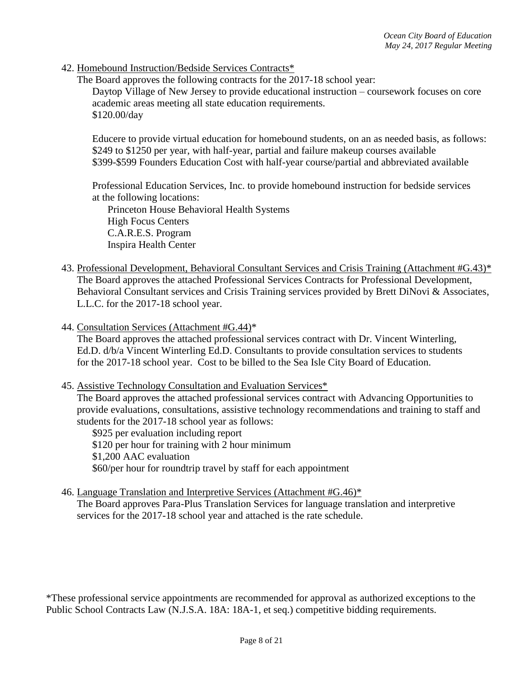42. Homebound Instruction/Bedside Services Contracts\*

The Board approves the following contracts for the 2017-18 school year:

Daytop Village of New Jersey to provide educational instruction – coursework focuses on core academic areas meeting all state education requirements. \$120.00/day

Educere to provide virtual education for homebound students, on an as needed basis, as follows: \$249 to \$1250 per year, with half-year, partial and failure makeup courses available \$399-\$599 Founders Education Cost with half-year course/partial and abbreviated available

Professional Education Services, Inc. to provide homebound instruction for bedside services at the following locations:

Princeton House Behavioral Health Systems High Focus Centers C.A.R.E.S. Program Inspira Health Center

- 43. Professional Development, Behavioral Consultant Services and Crisis Training (Attachment #G.43)\* The Board approves the attached Professional Services Contracts for Professional Development, Behavioral Consultant services and Crisis Training services provided by Brett DiNovi & Associates, L.L.C. for the 2017-18 school year.
- 44. Consultation Services (Attachment #G.44)\*

The Board approves the attached professional services contract with Dr. Vincent Winterling, Ed.D. d/b/a Vincent Winterling Ed.D. Consultants to provide consultation services to students for the 2017-18 school year. Cost to be billed to the Sea Isle City Board of Education.

45. Assistive Technology Consultation and Evaluation Services\*

The Board approves the attached professional services contract with Advancing Opportunities to provide evaluations, consultations, assistive technology recommendations and training to staff and students for the 2017-18 school year as follows:

\$925 per evaluation including report \$120 per hour for training with 2 hour minimum \$1,200 AAC evaluation \$60/per hour for roundtrip travel by staff for each appointment

46. Language Translation and Interpretive Services (Attachment #G.46)\*

The Board approves Para-Plus Translation Services for language translation and interpretive services for the 2017-18 school year and attached is the rate schedule.

\*These professional service appointments are recommended for approval as authorized exceptions to the Public School Contracts Law (N.J.S.A. 18A: 18A-1, et seq.) competitive bidding requirements.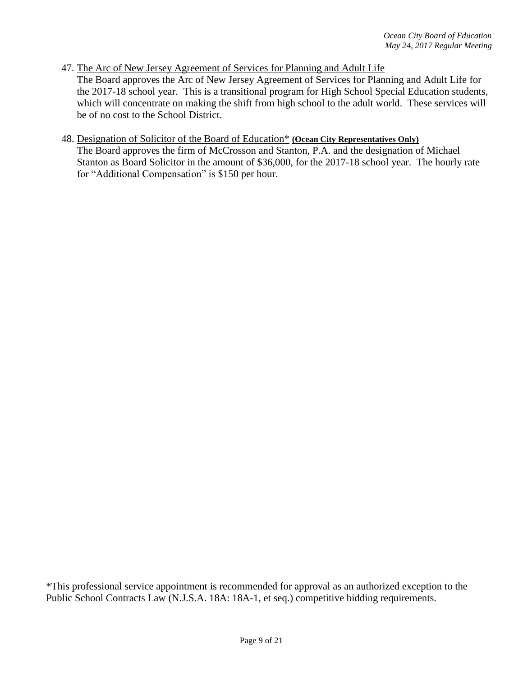## 47. The Arc of New Jersey Agreement of Services for Planning and Adult Life

The Board approves the Arc of New Jersey Agreement of Services for Planning and Adult Life for the 2017-18 school year. This is a transitional program for High School Special Education students, which will concentrate on making the shift from high school to the adult world. These services will be of no cost to the School District.

#### 48. Designation of Solicitor of the Board of Education\* **(Ocean City Representatives Only)**

The Board approves the firm of McCrosson and Stanton, P.A. and the designation of Michael Stanton as Board Solicitor in the amount of \$36,000, for the 2017-18 school year. The hourly rate for "Additional Compensation" is \$150 per hour.

\*This professional service appointment is recommended for approval as an authorized exception to the Public School Contracts Law (N.J.S.A. 18A: 18A-1, et seq.) competitive bidding requirements.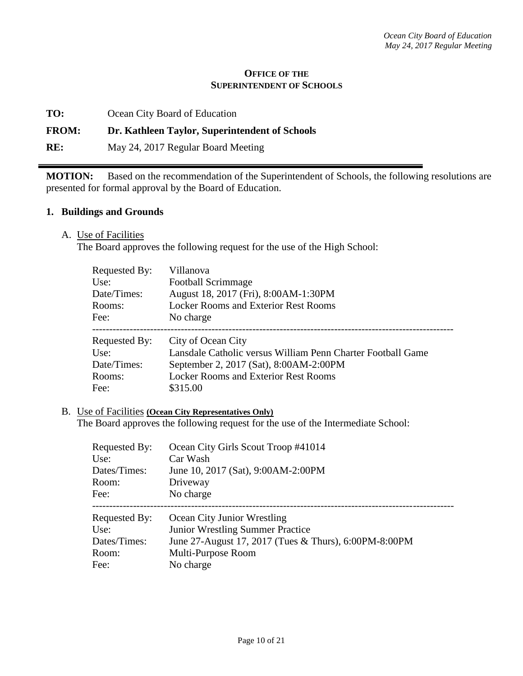#### **OFFICE OF THE SUPERINTENDENT OF SCHOOLS**

**TO:** Ocean City Board of Education

## **FROM: Dr. Kathleen Taylor, Superintendent of Schools**

**RE:** May 24, 2017 Regular Board Meeting

**MOTION:** Based on the recommendation of the Superintendent of Schools, the following resolutions are presented for formal approval by the Board of Education.

### **1. Buildings and Grounds**

A. Use of Facilities

The Board approves the following request for the use of the High School:

| Requested By: | Villanova                                                   |
|---------------|-------------------------------------------------------------|
| Use:          | <b>Football Scrimmage</b>                                   |
| Date/Times:   | August 18, 2017 (Fri), 8:00AM-1:30PM                        |
| Rooms:        | <b>Locker Rooms and Exterior Rest Rooms</b>                 |
| Fee:          | No charge                                                   |
| Requested By: | City of Ocean City                                          |
| Use:          | Lansdale Catholic versus William Penn Charter Football Game |
| Date/Times:   | September 2, 2017 (Sat), 8:00AM-2:00PM                      |
| Rooms:        | <b>Locker Rooms and Exterior Rest Rooms</b>                 |
| Fee:          | \$315.00                                                    |

## B. Use of Facilities **(Ocean City Representatives Only)**

The Board approves the following request for the use of the Intermediate School:

| Requested By: | Ocean City Girls Scout Troop #41014                   |
|---------------|-------------------------------------------------------|
| Use:          | Car Wash                                              |
| Dates/Times:  | June 10, 2017 (Sat), 9:00AM-2:00PM                    |
| Room:         | Driveway                                              |
| Fee:          | No charge                                             |
| Requested By: | Ocean City Junior Wrestling                           |
| Use:          | <b>Junior Wrestling Summer Practice</b>               |
| Dates/Times:  | June 27-August 17, 2017 (Tues & Thurs), 6:00PM-8:00PM |
| Room:         | Multi-Purpose Room                                    |
| Fee:          | No charge                                             |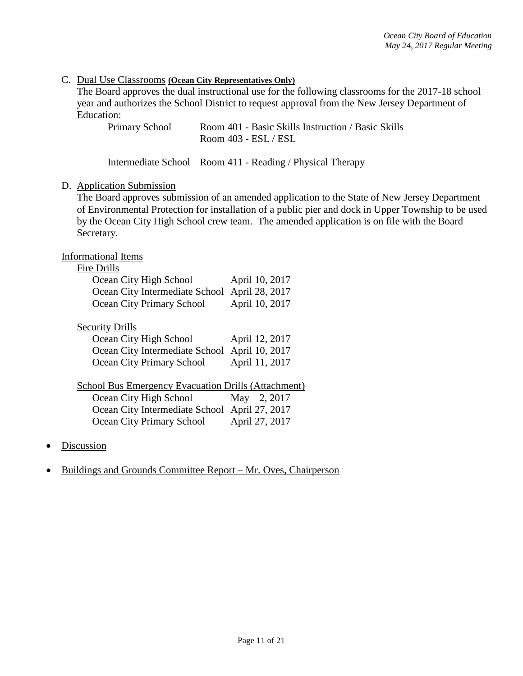## C. Dual Use Classrooms **(Ocean City Representatives Only)**

The Board approves the dual instructional use for the following classrooms for the 2017-18 school year and authorizes the School District to request approval from the New Jersey Department of Education:

| <b>Primary School</b> | Room 401 - Basic Skills Instruction / Basic Skills |
|-----------------------|----------------------------------------------------|
|                       | Room 403 - ESL / ESL                               |

|  | Intermediate School Room 411 - Reading / Physical Therapy |  |
|--|-----------------------------------------------------------|--|
|--|-----------------------------------------------------------|--|

#### D. Application Submission

The Board approves submission of an amended application to the State of New Jersey Department of Environmental Protection for installation of a public pier and dock in Upper Township to be used by the Ocean City High School crew team. The amended application is on file with the Board Secretary.

#### Informational Items

## Fire Drills

| Ocean City High School                        | April 10, 2017 |
|-----------------------------------------------|----------------|
| Ocean City Intermediate School April 28, 2017 |                |
| Ocean City Primary School                     | April 10, 2017 |

#### Security Drills

| Ocean City High School                        | April 12, 2017 |
|-----------------------------------------------|----------------|
| Ocean City Intermediate School April 10, 2017 |                |
| Ocean City Primary School                     | April 11, 2017 |

|--|

| Ocean City High School                        | May 2, 2017    |
|-----------------------------------------------|----------------|
| Ocean City Intermediate School April 27, 2017 |                |
| Ocean City Primary School                     | April 27, 2017 |

- **Discussion**
- Buildings and Grounds Committee Report Mr. Oves, Chairperson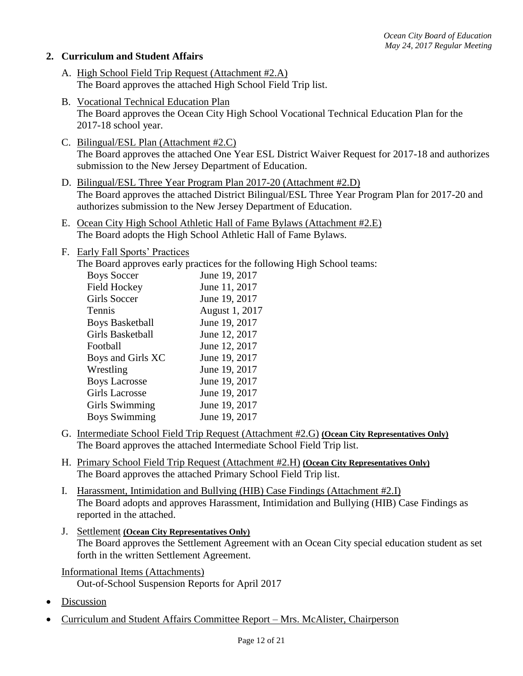## **2. Curriculum and Student Affairs**

- A. High School Field Trip Request (Attachment #2.A) The Board approves the attached High School Field Trip list.
- B. Vocational Technical Education Plan The Board approves the Ocean City High School Vocational Technical Education Plan for the 2017-18 school year.
- C. Bilingual/ESL Plan (Attachment #2.C) The Board approves the attached One Year ESL District Waiver Request for 2017-18 and authorizes submission to the New Jersey Department of Education.
- D. Bilingual/ESL Three Year Program Plan 2017-20 (Attachment #2.D) The Board approves the attached District Bilingual/ESL Three Year Program Plan for 2017-20 and authorizes submission to the New Jersey Department of Education.
- E. Ocean City High School Athletic Hall of Fame Bylaws (Attachment #2.E) The Board adopts the High School Athletic Hall of Fame Bylaws.
- F. Early Fall Sports' Practices
	- The Board approves early practices for the following High School teams:

| <b>Boys Soccer</b>     | June 19, 2017  |
|------------------------|----------------|
| <b>Field Hockey</b>    | June 11, 2017  |
| Girls Soccer           | June 19, 2017  |
| Tennis                 | August 1, 2017 |
| <b>Boys Basketball</b> | June 19, 2017  |
| Girls Basketball       | June 12, 2017  |
| Football               | June 12, 2017  |
| Boys and Girls XC      | June 19, 2017  |
| Wrestling              | June 19, 2017  |
| <b>Boys Lacrosse</b>   | June 19, 2017  |
| <b>Girls Lacrosse</b>  | June 19, 2017  |
| Girls Swimming         | June 19, 2017  |
| <b>Boys Swimming</b>   | June 19, 2017  |

- G. Intermediate School Field Trip Request (Attachment #2.G) **(Ocean City Representatives Only)** The Board approves the attached Intermediate School Field Trip list.
- H. Primary School Field Trip Request (Attachment #2.H) **(Ocean City Representatives Only)** The Board approves the attached Primary School Field Trip list.
- I. Harassment, Intimidation and Bullying (HIB) Case Findings (Attachment #2.I) The Board adopts and approves Harassment, Intimidation and Bullying (HIB) Case Findings as reported in the attached.
- J. Settlement **(Ocean City Representatives Only)** The Board approves the Settlement Agreement with an Ocean City special education student as set forth in the written Settlement Agreement.

Informational Items (Attachments) Out-of-School Suspension Reports for April 2017

- Discussion
- Curriculum and Student Affairs Committee Report Mrs. McAlister, Chairperson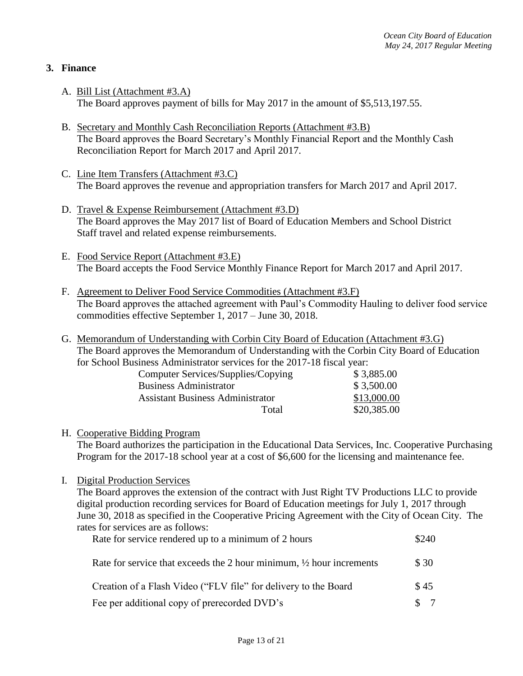## **3. Finance**

- A. Bill List (Attachment #3.A) The Board approves payment of bills for May 2017 in the amount of \$5,513,197.55.
- B. Secretary and Monthly Cash Reconciliation Reports (Attachment #3.B) The Board approves the Board Secretary's Monthly Financial Report and the Monthly Cash Reconciliation Report for March 2017 and April 2017.
- C. Line Item Transfers (Attachment #3.C) The Board approves the revenue and appropriation transfers for March 2017 and April 2017.
- D. Travel & Expense Reimbursement (Attachment #3.D) The Board approves the May 2017 list of Board of Education Members and School District Staff travel and related expense reimbursements.
- E. Food Service Report (Attachment #3.E) The Board accepts the Food Service Monthly Finance Report for March 2017 and April 2017.
- F. Agreement to Deliver Food Service Commodities (Attachment #3.F) The Board approves the attached agreement with Paul's Commodity Hauling to deliver food service commodities effective September 1, 2017 – June 30, 2018.
- G. Memorandum of Understanding with Corbin City Board of Education (Attachment #3.G) The Board approves the Memorandum of Understanding with the Corbin City Board of Education for School Business Administrator services for the 2017-18 fiscal year:

| Computer Services/Supplies/Copying      | \$3,885.00  |
|-----------------------------------------|-------------|
| <b>Business Administrator</b>           | \$3,500.00  |
| <b>Assistant Business Administrator</b> | \$13,000.00 |
| Total                                   | \$20,385.00 |

### H. Cooperative Bidding Program

The Board authorizes the participation in the Educational Data Services, Inc. Cooperative Purchasing Program for the 2017-18 school year at a cost of \$6,600 for the licensing and maintenance fee.

I. Digital Production Services

The Board approves the extension of the contract with Just Right TV Productions LLC to provide digital production recording services for Board of Education meetings for July 1, 2017 through June 30, 2018 as specified in the Cooperative Pricing Agreement with the City of Ocean City. The rates for services are as follows:

| Rate for service rendered up to a minimum of 2 hours                            | \$240 |  |
|---------------------------------------------------------------------------------|-------|--|
| Rate for service that exceeds the 2 hour minimum, $\frac{1}{2}$ hour increments | \$ 30 |  |
| Creation of a Flash Video ("FLV file" for delivery to the Board                 | \$45  |  |
| Fee per additional copy of prerecorded DVD's                                    |       |  |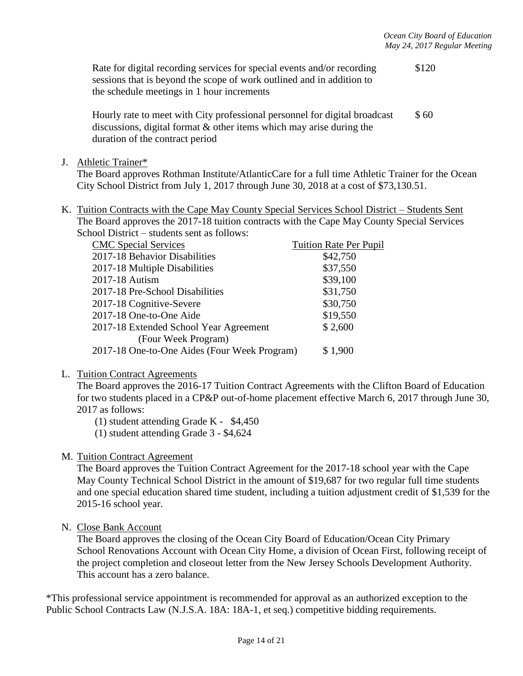Rate for digital recording services for special events and/or recording \$120 sessions that is beyond the scope of work outlined and in addition to the schedule meetings in 1 hour increments

Hourly rate to meet with City professional personnel for digital broadcast  $$60$ discussions, digital format & other items which may arise during the duration of the contract period

J. Athletic Trainer\*

The Board approves Rothman Institute/AtlanticCare for a full time Athletic Trainer for the Ocean City School District from July 1, 2017 through June 30, 2018 at a cost of \$73,130.51.

K. Tuition Contracts with the Cape May County Special Services School District – Students Sent The Board approves the 2017-18 tuition contracts with the Cape May County Special Services School District – students sent as follows:

| <b>CMC</b> Special Services                  | <b>Tuition Rate Per Pupil</b> |
|----------------------------------------------|-------------------------------|
| 2017-18 Behavior Disabilities                | \$42,750                      |
| 2017-18 Multiple Disabilities                | \$37,550                      |
| 2017-18 Autism                               | \$39,100                      |
| 2017-18 Pre-School Disabilities              | \$31,750                      |
| 2017-18 Cognitive-Severe                     | \$30,750                      |
| 2017-18 One-to-One Aide                      | \$19,550                      |
| 2017-18 Extended School Year Agreement       | \$2,600                       |
| (Four Week Program)                          |                               |
| 2017-18 One-to-One Aides (Four Week Program) | \$1,900                       |
|                                              |                               |

L. Tuition Contract Agreements

The Board approves the 2016-17 Tuition Contract Agreements with the Clifton Board of Education for two students placed in a CP&P out-of-home placement effective March 6, 2017 through June 30, 2017 as follows:

- (1) student attending Grade K \$4,450
- (1) student attending Grade 3 \$4,624

#### M. Tuition Contract Agreement

The Board approves the Tuition Contract Agreement for the 2017-18 school year with the Cape May County Technical School District in the amount of \$19,687 for two regular full time students and one special education shared time student, including a tuition adjustment credit of \$1,539 for the 2015-16 school year.

N. Close Bank Account

The Board approves the closing of the Ocean City Board of Education/Ocean City Primary School Renovations Account with Ocean City Home, a division of Ocean First, following receipt of the project completion and closeout letter from the New Jersey Schools Development Authority. This account has a zero balance.

\*This professional service appointment is recommended for approval as an authorized exception to the Public School Contracts Law (N.J.S.A. 18A: 18A-1, et seq.) competitive bidding requirements.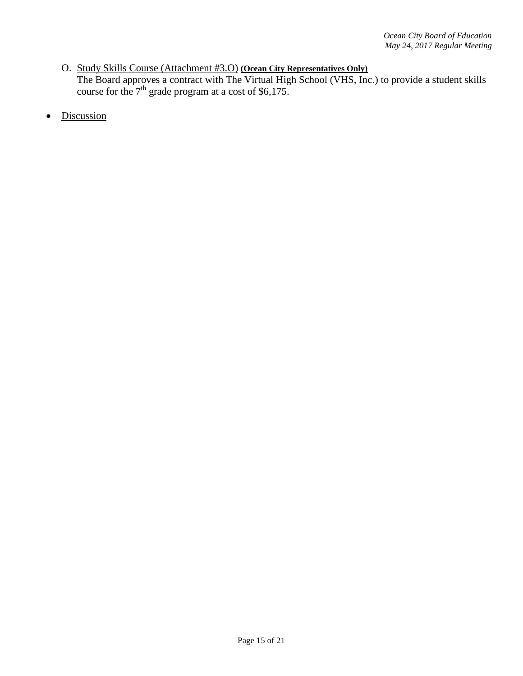## O. Study Skills Course (Attachment #3.O) **(Ocean City Representatives Only)** The Board approves a contract with The Virtual High School (VHS, Inc.) to provide a student skills course for the  $7<sup>th</sup>$  grade program at a cost of \$6,175.

• Discussion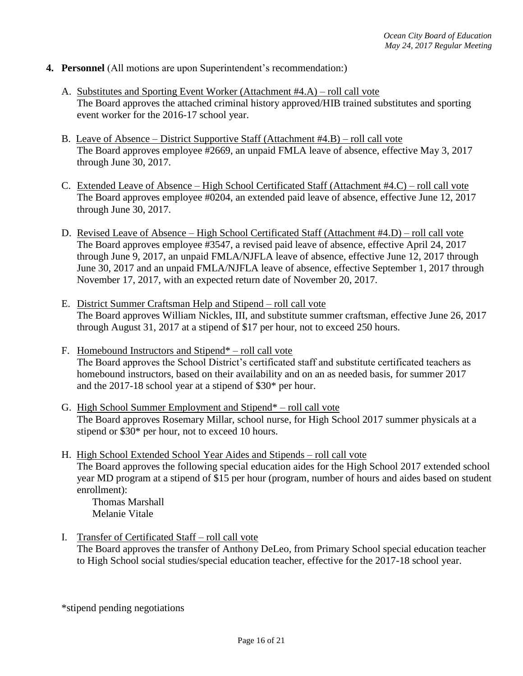- **4. Personnel** (All motions are upon Superintendent's recommendation:)
	- A. Substitutes and Sporting Event Worker (Attachment #4.A) roll call vote The Board approves the attached criminal history approved/HIB trained substitutes and sporting event worker for the 2016-17 school year.
	- B. Leave of Absence District Supportive Staff (Attachment #4.B) roll call vote The Board approves employee #2669, an unpaid FMLA leave of absence, effective May 3, 2017 through June 30, 2017.
	- C. Extended Leave of Absence High School Certificated Staff (Attachment #4.C) roll call vote The Board approves employee #0204, an extended paid leave of absence, effective June 12, 2017 through June 30, 2017.
	- D. Revised Leave of Absence High School Certificated Staff (Attachment #4.D) roll call vote The Board approves employee #3547, a revised paid leave of absence, effective April 24, 2017 through June 9, 2017, an unpaid FMLA/NJFLA leave of absence, effective June 12, 2017 through June 30, 2017 and an unpaid FMLA/NJFLA leave of absence, effective September 1, 2017 through November 17, 2017, with an expected return date of November 20, 2017.
	- E. District Summer Craftsman Help and Stipend roll call vote The Board approves William Nickles, III, and substitute summer craftsman, effective June 26, 2017 through August 31, 2017 at a stipend of \$17 per hour, not to exceed 250 hours.
	- F. Homebound Instructors and Stipend\* roll call vote The Board approves the School District's certificated staff and substitute certificated teachers as homebound instructors, based on their availability and on an as needed basis, for summer 2017 and the 2017-18 school year at a stipend of \$30\* per hour.
	- G. High School Summer Employment and Stipend\* roll call vote The Board approves Rosemary Millar, school nurse, for High School 2017 summer physicals at a stipend or \$30\* per hour, not to exceed 10 hours.
	- H. High School Extended School Year Aides and Stipends roll call vote The Board approves the following special education aides for the High School 2017 extended school year MD program at a stipend of \$15 per hour (program, number of hours and aides based on student enrollment):

Thomas Marshall Melanie Vitale

I. Transfer of Certificated Staff – roll call vote The Board approves the transfer of Anthony DeLeo, from Primary School special education teacher to High School social studies/special education teacher, effective for the 2017-18 school year.

\*stipend pending negotiations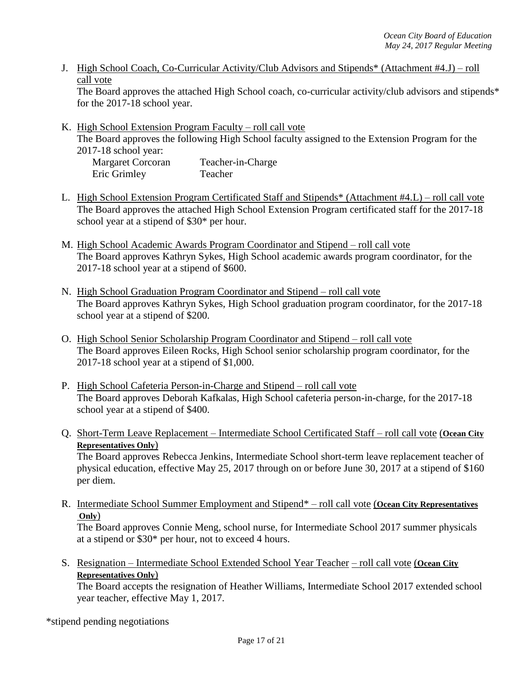J. High School Coach, Co-Curricular Activity/Club Advisors and Stipends\* (Attachment #4.J) – roll call vote

The Board approves the attached High School coach, co-curricular activity/club advisors and stipends\* for the 2017-18 school year.

K. High School Extension Program Faculty – roll call vote The Board approves the following High School faculty assigned to the Extension Program for the 2017-18 school year:

| <b>Margaret Corcoran</b> | Teacher-in-Charge |
|--------------------------|-------------------|
| Eric Grimley             | Teacher           |

- L. High School Extension Program Certificated Staff and Stipends\* (Attachment #4.L) roll call vote The Board approves the attached High School Extension Program certificated staff for the 2017-18 school year at a stipend of \$30\* per hour.
- M. High School Academic Awards Program Coordinator and Stipend roll call vote The Board approves Kathryn Sykes, High School academic awards program coordinator, for the 2017-18 school year at a stipend of \$600.
- N. High School Graduation Program Coordinator and Stipend roll call vote The Board approves Kathryn Sykes, High School graduation program coordinator, for the 2017-18 school year at a stipend of \$200.
- O. High School Senior Scholarship Program Coordinator and Stipend roll call vote The Board approves Eileen Rocks, High School senior scholarship program coordinator, for the 2017-18 school year at a stipend of \$1,000.
- P. High School Cafeteria Person-in-Charge and Stipend roll call vote The Board approves Deborah Kafkalas, High School cafeteria person-in-charge, for the 2017-18 school year at a stipend of \$400.
- Q. Short-Term Leave Replacement Intermediate School Certificated Staff roll call vote (**Ocean City Representatives Only**)

The Board approves Rebecca Jenkins, Intermediate School short-term leave replacement teacher of physical education, effective May 25, 2017 through on or before June 30, 2017 at a stipend of \$160 per diem.

R. Intermediate School Summer Employment and Stipend\* – roll call vote (**Ocean City Representatives Only**)

The Board approves Connie Meng, school nurse, for Intermediate School 2017 summer physicals at a stipend or \$30\* per hour, not to exceed 4 hours.

S. Resignation – Intermediate School Extended School Year Teacher – roll call vote (**Ocean City Representatives Only**)

The Board accepts the resignation of Heather Williams, Intermediate School 2017 extended school year teacher, effective May 1, 2017.

\*stipend pending negotiations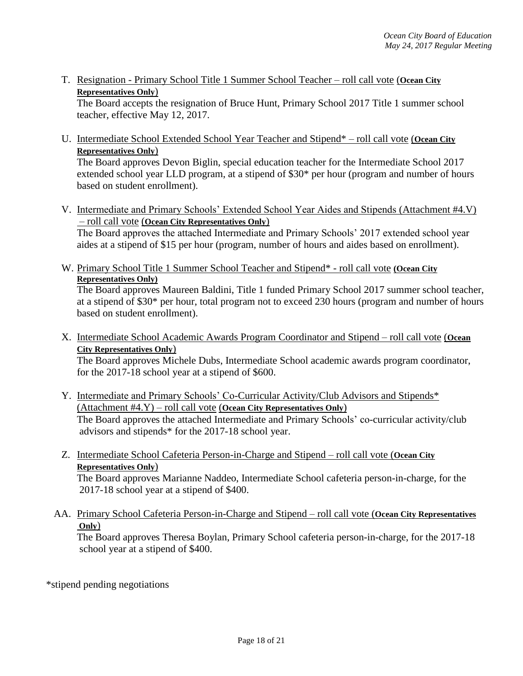T. Resignation - Primary School Title 1 Summer School Teacher – roll call vote (**Ocean City Representatives Only**)

The Board accepts the resignation of Bruce Hunt, Primary School 2017 Title 1 summer school teacher, effective May 12, 2017.

U. Intermediate School Extended School Year Teacher and Stipend\* – roll call vote (**Ocean City Representatives Only**)

The Board approves Devon Biglin, special education teacher for the Intermediate School 2017 extended school year LLD program, at a stipend of \$30\* per hour (program and number of hours based on student enrollment).

V. Intermediate and Primary Schools' Extended School Year Aides and Stipends (Attachment #4.V) – roll call vote (**Ocean City Representatives Only**)

The Board approves the attached Intermediate and Primary Schools' 2017 extended school year aides at a stipend of \$15 per hour (program, number of hours and aides based on enrollment).

W. Primary School Title 1 Summer School Teacher and Stipend\* - roll call vote **(Ocean City Representatives Only)**

The Board approves Maureen Baldini, Title 1 funded Primary School 2017 summer school teacher, at a stipend of \$30\* per hour, total program not to exceed 230 hours (program and number of hours based on student enrollment).

X. Intermediate School Academic Awards Program Coordinator and Stipend – roll call vote (**Ocean City Representatives Only**)

The Board approves Michele Dubs, Intermediate School academic awards program coordinator, for the 2017-18 school year at a stipend of \$600.

- Y. Intermediate and Primary Schools' Co-Curricular Activity/Club Advisors and Stipends\* (Attachment #4.Y) – roll call vote (**Ocean City Representatives Only**) The Board approves the attached Intermediate and Primary Schools' co-curricular activity/club advisors and stipends\* for the 2017-18 school year.
- Z. Intermediate School Cafeteria Person-in-Charge and Stipend roll call vote (**Ocean City Representatives Only**)

The Board approves Marianne Naddeo, Intermediate School cafeteria person-in-charge, for the 2017-18 school year at a stipend of \$400.

AA. Primary School Cafeteria Person-in-Charge and Stipend – roll call vote (**Ocean City Representatives Only**)

The Board approves Theresa Boylan, Primary School cafeteria person-in-charge, for the 2017-18 school year at a stipend of \$400.

\*stipend pending negotiations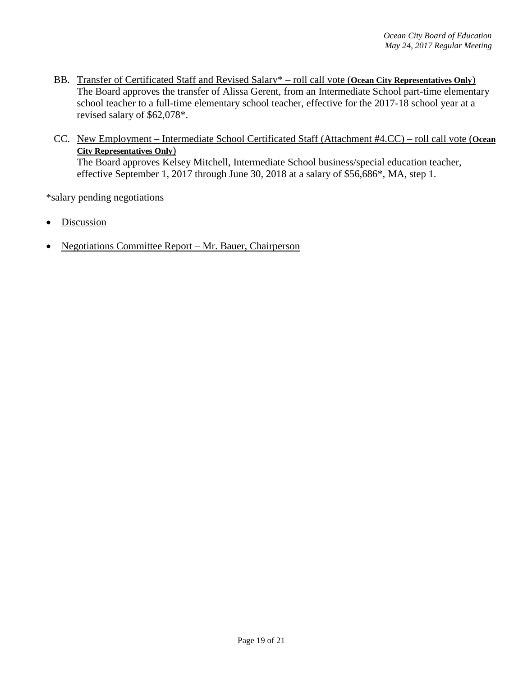- BB. Transfer of Certificated Staff and Revised Salary\* roll call vote (**Ocean City Representatives Only**) The Board approves the transfer of Alissa Gerent, from an Intermediate School part-time elementary school teacher to a full-time elementary school teacher, effective for the 2017-18 school year at a revised salary of \$62,078\*.
- CC. New Employment Intermediate School Certificated Staff (Attachment #4.CC) roll call vote (**Ocean City Representatives Only**) The Board approves Kelsey Mitchell, Intermediate School business/special education teacher, effective September 1, 2017 through June 30, 2018 at a salary of \$56,686\*, MA, step 1.

\*salary pending negotiations

- **Discussion**
- Negotiations Committee Report Mr. Bauer, Chairperson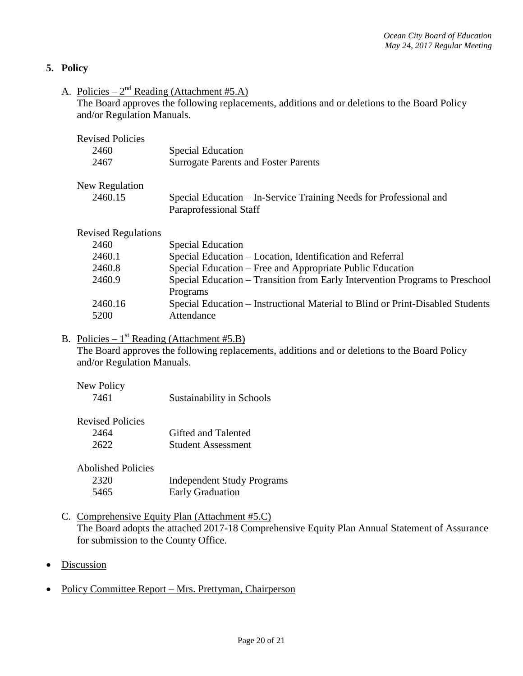## **5. Policy**

A. Policies –  $2^{nd}$  Reading (Attachment #5.A)

The Board approves the following replacements, additions and or deletions to the Board Policy and/or Regulation Manuals.

| <b>Revised Policies</b>    |                                                                                |
|----------------------------|--------------------------------------------------------------------------------|
| 2460                       | <b>Special Education</b>                                                       |
| 2467                       | <b>Surrogate Parents and Foster Parents</b>                                    |
| New Regulation             |                                                                                |
| 2460.15                    | Special Education – In-Service Training Needs for Professional and             |
|                            | Paraprofessional Staff                                                         |
| <b>Revised Regulations</b> |                                                                                |
| 2460                       | <b>Special Education</b>                                                       |
| 2460.1                     | Special Education – Location, Identification and Referral                      |
| 2460.8                     | Special Education – Free and Appropriate Public Education                      |
| 2460.9                     | Special Education – Transition from Early Intervention Programs to Preschool   |
|                            | Programs                                                                       |
| 2460.16                    | Special Education – Instructional Material to Blind or Print-Disabled Students |
| 5200                       | Attendance                                                                     |

# B. Policies –  $1^{st}$  Reading (Attachment #5.B)

The Board approves the following replacements, additions and or deletions to the Board Policy and/or Regulation Manuals.

| New Policy |                           |
|------------|---------------------------|
| 7461       | Sustainability in Schools |

| <b>Revised Policies</b> |                           |
|-------------------------|---------------------------|
| 2464                    | Gifted and Talented       |
| 2622                    | <b>Student Assessment</b> |

| <b>Abolished Policies</b> |                                   |
|---------------------------|-----------------------------------|
| 2320                      | <b>Independent Study Programs</b> |
| 5465                      | <b>Early Graduation</b>           |

- C. Comprehensive Equity Plan (Attachment #5.C) The Board adopts the attached 2017-18 Comprehensive Equity Plan Annual Statement of Assurance for submission to the County Office.
- Discussion
- Policy Committee Report Mrs. Prettyman, Chairperson